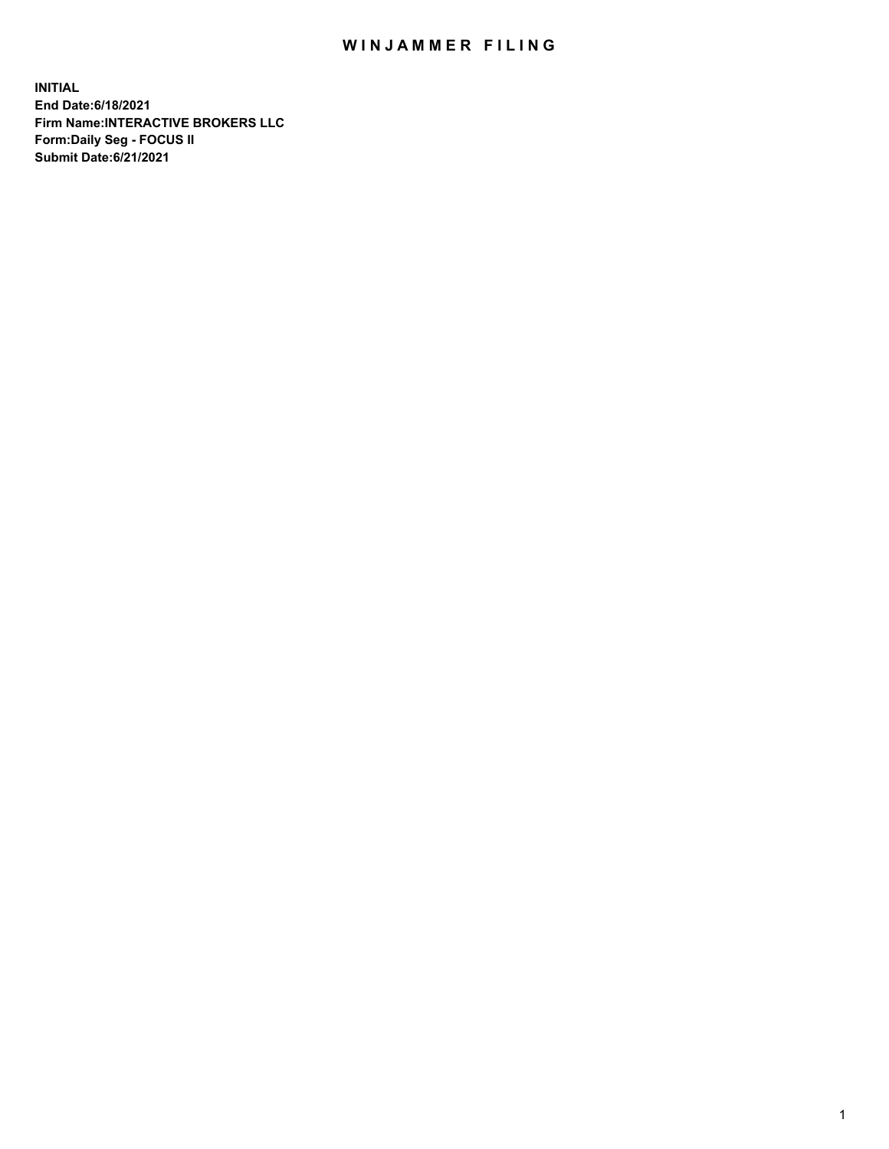## WIN JAMMER FILING

**INITIAL End Date:6/18/2021 Firm Name:INTERACTIVE BROKERS LLC Form:Daily Seg - FOCUS II Submit Date:6/21/2021**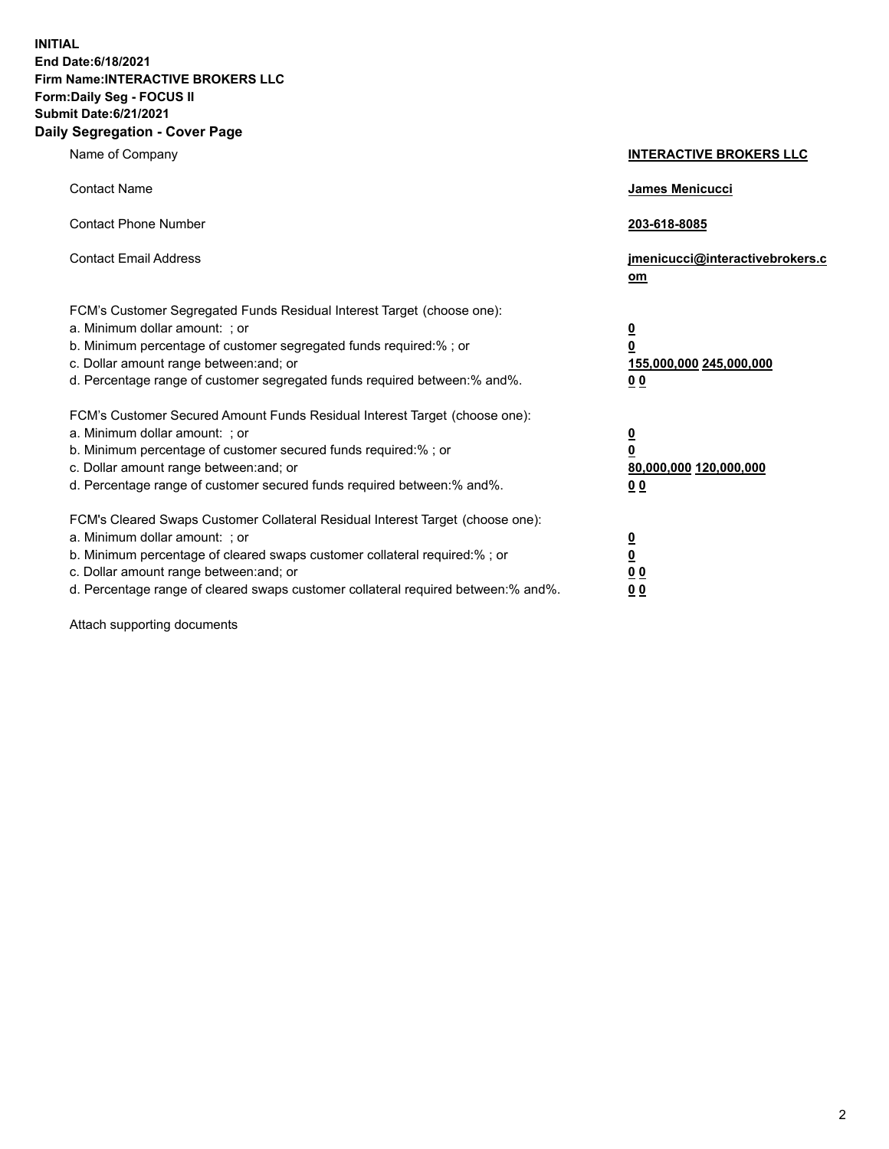**INITIAL End Date:6/18/2021 Firm Name:INTERACTIVE BROKERS LLC Form:Daily Seg - FOCUS II Submit Date:6/21/2021 Daily Segregation - Cover Page**

| Name of Company                                                                                                                                                                                                                                                                                                                | <b>INTERACTIVE BROKERS LLC</b>                                                   |
|--------------------------------------------------------------------------------------------------------------------------------------------------------------------------------------------------------------------------------------------------------------------------------------------------------------------------------|----------------------------------------------------------------------------------|
| <b>Contact Name</b>                                                                                                                                                                                                                                                                                                            | James Menicucci                                                                  |
| <b>Contact Phone Number</b>                                                                                                                                                                                                                                                                                                    | 203-618-8085                                                                     |
| <b>Contact Email Address</b>                                                                                                                                                                                                                                                                                                   | jmenicucci@interactivebrokers.c<br>om                                            |
| FCM's Customer Segregated Funds Residual Interest Target (choose one):<br>a. Minimum dollar amount: ; or<br>b. Minimum percentage of customer segregated funds required:% ; or<br>c. Dollar amount range between: and; or<br>d. Percentage range of customer segregated funds required between:% and%.                         | <u>0</u><br>$\overline{\mathbf{0}}$<br>155,000,000 245,000,000<br>0 <sub>0</sub> |
| FCM's Customer Secured Amount Funds Residual Interest Target (choose one):<br>a. Minimum dollar amount: ; or<br>b. Minimum percentage of customer secured funds required:% ; or<br>c. Dollar amount range between: and; or<br>d. Percentage range of customer secured funds required between:% and%.                           | <u>0</u><br>$\overline{\mathbf{0}}$<br>80,000,000 120,000,000<br>0 <sub>0</sub>  |
| FCM's Cleared Swaps Customer Collateral Residual Interest Target (choose one):<br>a. Minimum dollar amount: ; or<br>b. Minimum percentage of cleared swaps customer collateral required:% ; or<br>c. Dollar amount range between: and; or<br>d. Percentage range of cleared swaps customer collateral required between:% and%. | <u>0</u><br>$\underline{\mathbf{0}}$<br>0 <sub>0</sub><br>0 <sub>0</sub>         |

Attach supporting documents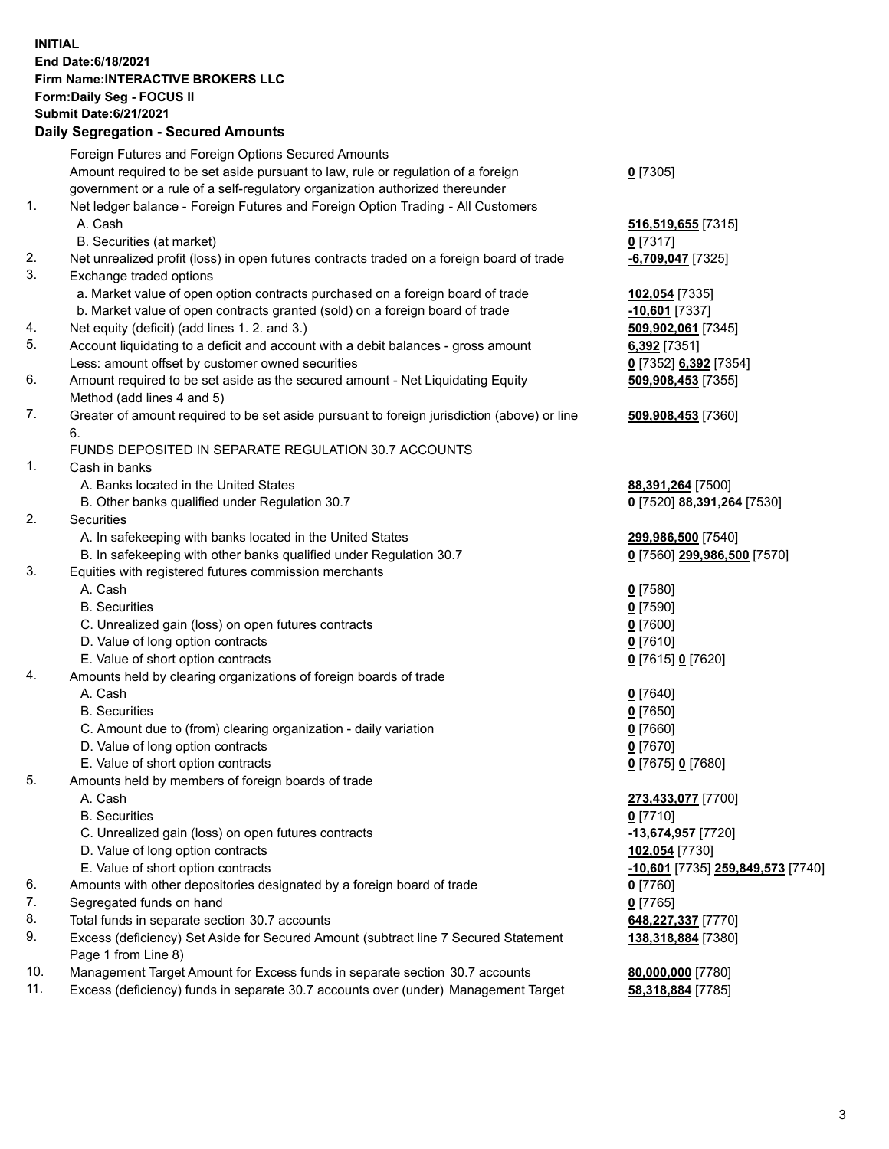## **INITIAL End Date:6/18/2021 Firm Name:INTERACTIVE BROKERS LLC Form:Daily Seg - FOCUS II Submit Date:6/21/2021**

|     | <b>Daily Segregation - Secured Amounts</b>                                                  |                                        |
|-----|---------------------------------------------------------------------------------------------|----------------------------------------|
|     | Foreign Futures and Foreign Options Secured Amounts                                         |                                        |
|     | Amount required to be set aside pursuant to law, rule or regulation of a foreign            | $0$ [7305]                             |
|     | government or a rule of a self-regulatory organization authorized thereunder                |                                        |
| 1.  | Net ledger balance - Foreign Futures and Foreign Option Trading - All Customers             |                                        |
|     | A. Cash                                                                                     | 516,519,655 [7315]                     |
|     | B. Securities (at market)                                                                   | $0$ [7317]                             |
| 2.  | Net unrealized profit (loss) in open futures contracts traded on a foreign board of trade   | <b>-6,709,047</b> [7325]               |
| 3.  | Exchange traded options                                                                     |                                        |
|     | a. Market value of open option contracts purchased on a foreign board of trade              | 102,054 [7335]                         |
|     | b. Market value of open contracts granted (sold) on a foreign board of trade                | $-10,601$ [7337]                       |
| 4.  | Net equity (deficit) (add lines 1.2. and 3.)                                                | 509,902,061 [7345]                     |
| 5.  | Account liquidating to a deficit and account with a debit balances - gross amount           | $6,392$ [7351]                         |
|     | Less: amount offset by customer owned securities                                            | 0 [7352] 6,392 [7354]                  |
| 6.  | Amount required to be set aside as the secured amount - Net Liquidating Equity              | 509,908,453 [7355]                     |
|     | Method (add lines 4 and 5)                                                                  |                                        |
| 7.  | Greater of amount required to be set aside pursuant to foreign jurisdiction (above) or line | 509,908,453 [7360]                     |
|     | 6.                                                                                          |                                        |
|     | FUNDS DEPOSITED IN SEPARATE REGULATION 30.7 ACCOUNTS                                        |                                        |
| 1.  | Cash in banks                                                                               |                                        |
|     | A. Banks located in the United States                                                       | 88,391,264 [7500]                      |
|     | B. Other banks qualified under Regulation 30.7                                              | 0 [7520] 88,391,264 [7530]             |
| 2.  | Securities                                                                                  |                                        |
|     | A. In safekeeping with banks located in the United States                                   | 299,986,500 [7540]                     |
|     | B. In safekeeping with other banks qualified under Regulation 30.7                          | 0 [7560] 299,986,500 [7570]            |
| 3.  | Equities with registered futures commission merchants                                       |                                        |
|     | A. Cash                                                                                     | $0$ [7580]                             |
|     | <b>B.</b> Securities                                                                        | $0$ [7590]                             |
|     | C. Unrealized gain (loss) on open futures contracts                                         | $0$ [7600]                             |
|     | D. Value of long option contracts                                                           | $0$ [7610]                             |
|     | E. Value of short option contracts                                                          | 0 [7615] 0 [7620]                      |
| 4.  | Amounts held by clearing organizations of foreign boards of trade                           |                                        |
|     | A. Cash                                                                                     | $0$ [7640]                             |
|     | <b>B.</b> Securities                                                                        | $0$ [7650]                             |
|     | C. Amount due to (from) clearing organization - daily variation                             | $0$ [7660]                             |
|     | D. Value of long option contracts                                                           | $0$ [7670]                             |
|     | E. Value of short option contracts                                                          | 0 [7675] 0 [7680]                      |
| 5.  | Amounts held by members of foreign boards of trade                                          |                                        |
|     | A. Cash                                                                                     | 273,433,077 [7700]                     |
|     | <b>B.</b> Securities                                                                        | $0$ [7710]                             |
|     | C. Unrealized gain (loss) on open futures contracts                                         | -13,674,957 [7720]                     |
|     | D. Value of long option contracts                                                           | 102,054 [7730]                         |
|     | E. Value of short option contracts                                                          | -10,601 [7735] 259,849,573 [7740]      |
| 6.  | Amounts with other depositories designated by a foreign board of trade                      | $0$ [7760]                             |
| 7.  | Segregated funds on hand                                                                    | $0$ [7765]                             |
| 8.  | Total funds in separate section 30.7 accounts                                               | 648,227,337 [7770]                     |
| 9.  | Excess (deficiency) Set Aside for Secured Amount (subtract line 7 Secured Statement         |                                        |
|     | Page 1 from Line 8)                                                                         | 138,318,884 [7380]                     |
| 10. | Management Target Amount for Excess funds in separate section 30.7 accounts                 |                                        |
| 11. | Excess (deficiency) funds in separate 30.7 accounts over (under) Management Target          | 80,000,000 [7780]<br>58,318,884 [7785] |
|     |                                                                                             |                                        |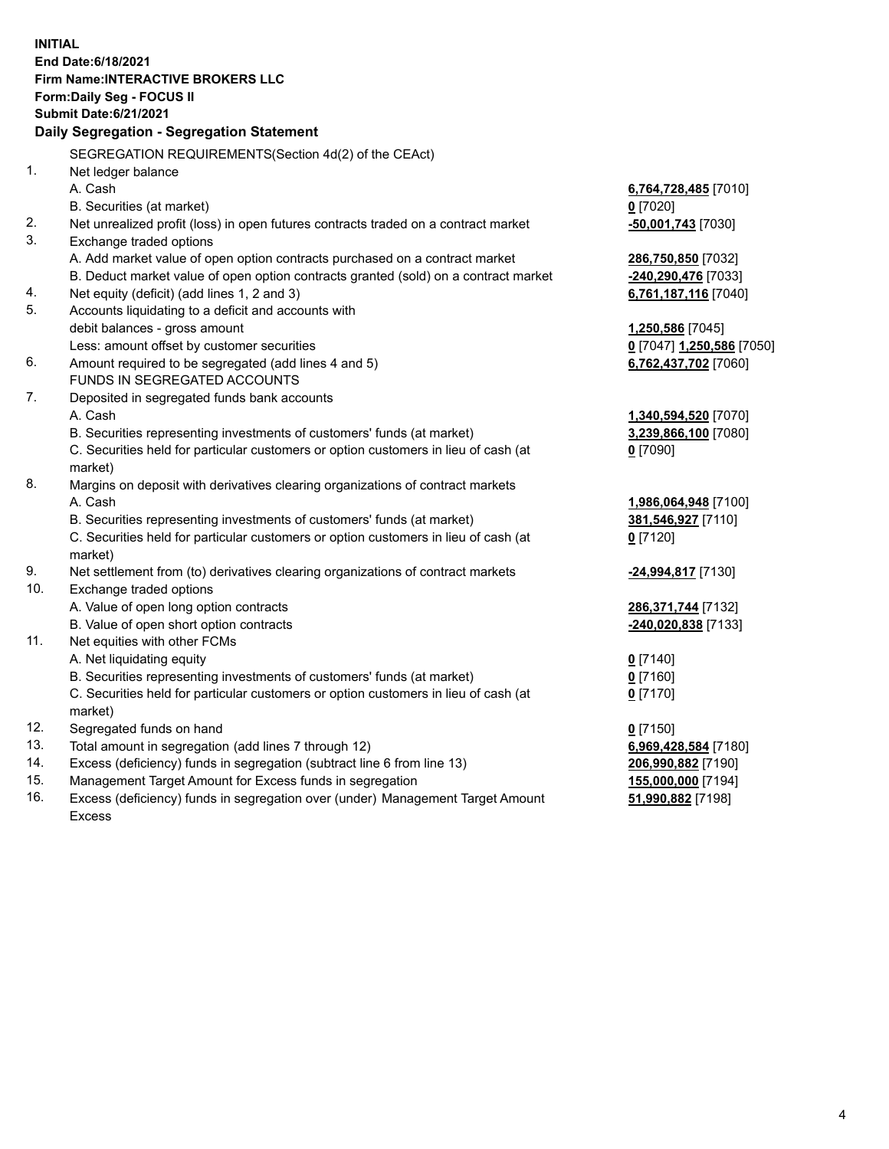**INITIAL End Date:6/18/2021 Firm Name:INTERACTIVE BROKERS LLC Form:Daily Seg - FOCUS II Submit Date:6/21/2021 Daily Segregation - Segregation Statement** SEGREGATION REQUIREMENTS(Section 4d(2) of the CEAct) 1. Net ledger balance A. Cash **6,764,728,485** [7010] B. Securities (at market) **0** [7020] 2. Net unrealized profit (loss) in open futures contracts traded on a contract market **-50,001,743** [7030] 3. Exchange traded options A. Add market value of open option contracts purchased on a contract market **286,750,850** [7032] B. Deduct market value of open option contracts granted (sold) on a contract market **-240,290,476** [7033] 4. Net equity (deficit) (add lines 1, 2 and 3) **6,761,187,116** [7040] 5. Accounts liquidating to a deficit and accounts with debit balances - gross amount **1,250,586** [7045] Less: amount offset by customer securities **0** [7047] **1,250,586** [7050] 6. Amount required to be segregated (add lines 4 and 5) **6,762,437,702** [7060] FUNDS IN SEGREGATED ACCOUNTS 7. Deposited in segregated funds bank accounts A. Cash **1,340,594,520** [7070] B. Securities representing investments of customers' funds (at market) **3,239,866,100** [7080] C. Securities held for particular customers or option customers in lieu of cash (at market) **0** [7090] 8. Margins on deposit with derivatives clearing organizations of contract markets A. Cash **1,986,064,948** [7100] B. Securities representing investments of customers' funds (at market) **381,546,927** [7110] C. Securities held for particular customers or option customers in lieu of cash (at market) **0** [7120] 9. Net settlement from (to) derivatives clearing organizations of contract markets **-24,994,817** [7130] 10. Exchange traded options A. Value of open long option contracts **286,371,744** [7132] B. Value of open short option contracts **-240,020,838** [7133] 11. Net equities with other FCMs A. Net liquidating equity **0** [7140] B. Securities representing investments of customers' funds (at market) **0** [7160] C. Securities held for particular customers or option customers in lieu of cash (at market) **0** [7170] 12. Segregated funds on hand **0** [7150] 13. Total amount in segregation (add lines 7 through 12) **6,969,428,584** [7180] 14. Excess (deficiency) funds in segregation (subtract line 6 from line 13) **206,990,882** [7190] 15. Management Target Amount for Excess funds in segregation **155,000,000** [7194] 16. Excess (deficiency) funds in segregation over (under) Management Target Amount **51,990,882** [7198]

Excess